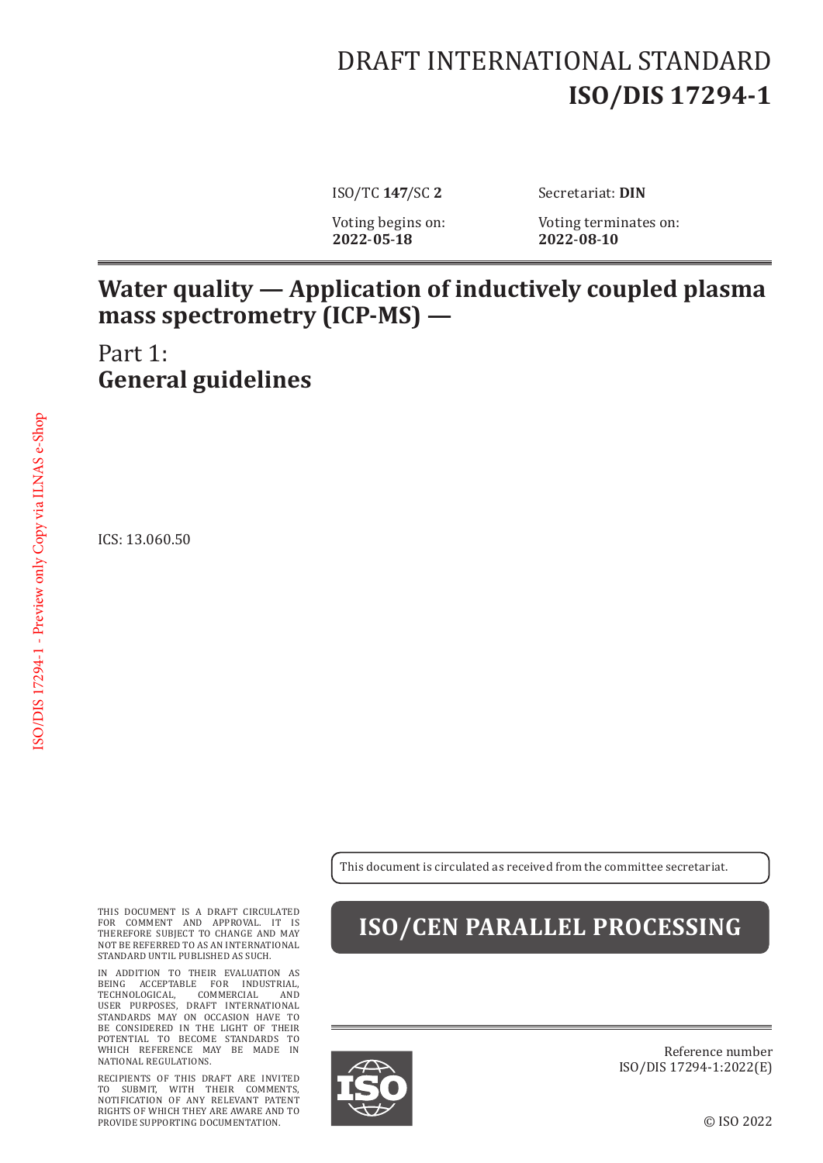# DRAFT INTERNATIONAL STANDARD **ISO/DIS 17294-1**

**2022**-**05**-**18 2022**-**08**-**10**

ISO/TC **147**/SC **2** Secretariat: **DIN**

Voting begins on: Voting terminates on:<br>2022-05-18 2022-08-10

#### **Water quality — Application of inductively coupled plasma mass spectrometry (ICP-MS) —**

Part 1: **General guidelines**

ICS: 13.060.50

This document is circulated as received from the committee secretariat.

THIS DOCUMENT IS A DRAFT CIRCULATED FOR COMMENT AND APPROVAL. IT IS THEREFORE SUBJECT TO CHANGE AND MAY NOT BE REFERRED TO AS AN INTERNATIONAL STANDARD UNTIL PUBLISHED AS SUCH.

IN ADDITION TO THEIR EVALUATION AS BEING ACCEPTABLE FOR INDUSTRIAL, TECHNOLOGICAL, COMMERCIAL AND USER PURPOSES, DRAFT INTERNATIONAL STANDARDS MAY ON OCCASION HAVE TO BE CONSIDERED IN THE LIGHT OF THEIR POTENTIAL TO BECOME STANDARDS TO WHICH REFERENCE MAY BE MADE IN NATIONAL REGULATIONS.

RECIPIENTS OF THIS DRAFT ARE INVITED TO SUBMIT, WITH THEIR COMMENTS, NOTIFICATION OF ANY RELEVANT PATENT RIGHTS OF WHICH THEY ARE AWARE AND TO PROVIDE SUPPORTING DOCUMENTATION.

### **ISO/CEN PARALLEL PROCESSING**



Reference number ISO/DIS 17294-1:2022(E)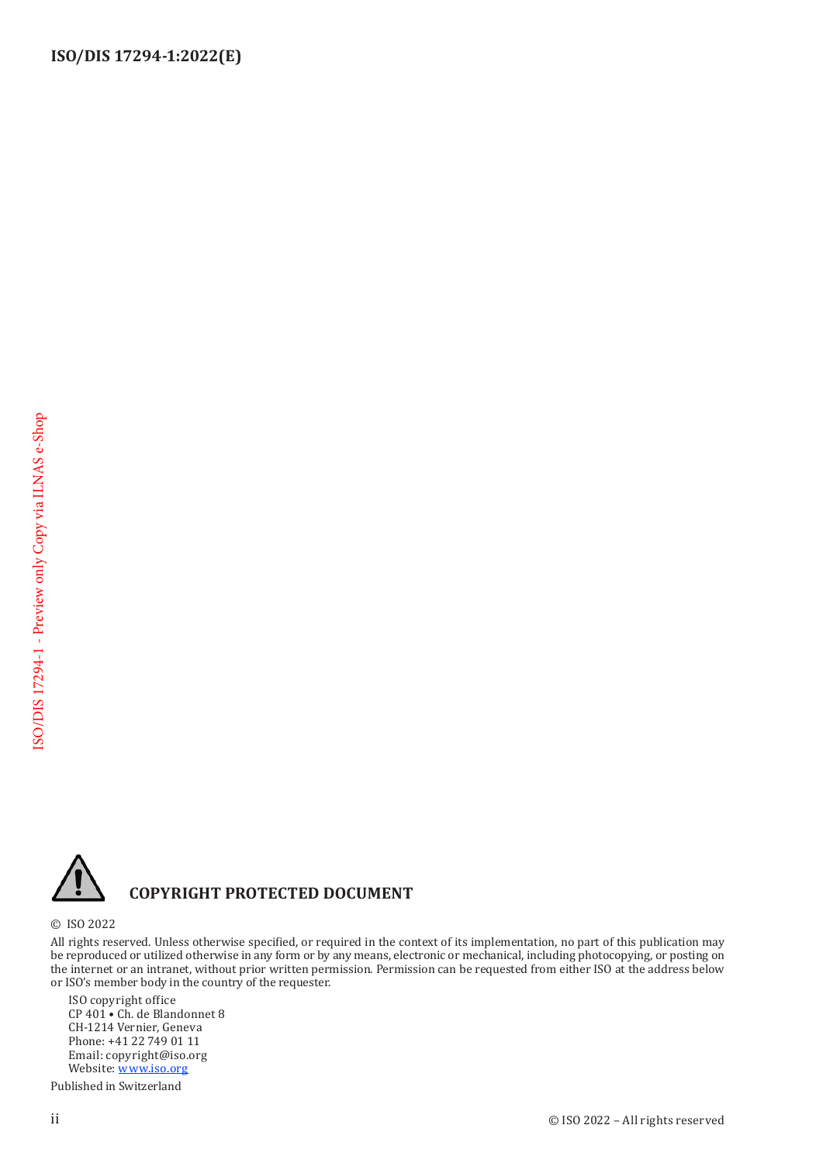

#### **COPYRIGHT PROTECTED DOCUMENT**

© ISO 2022

All rights reserved. Unless otherwise specified, or required in the context of its implementation, no part of this publication may be reproduced or utilized otherwise in any form or by any means, electronic or mechanical, including photocopying, or posting on the internet or an intranet, without prior written permission. Permission can be requested from either ISO at the address below or ISO's member body in the country of the requester.

ISO copyright office CP 401 • Ch. de Blandonnet 8 CH-1214 Vernier, Geneva Phone: +41 22 749 01 11 Email: copyright@iso.org Website: [www.iso.org](https://www.iso.org)

Published in Switzerland